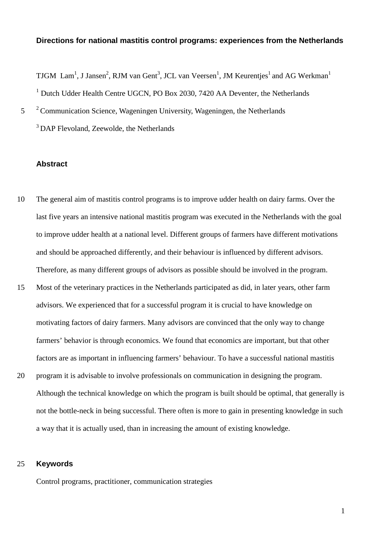# **Directions for national mastitis control programs: experiences from the Netherlands**

TJGM  $\text{Lam}^1$ , J Jansen<sup>2</sup>, RJM van Gent<sup>3</sup>, JCL van Veersen<sup>1</sup>, JM Keurentjes<sup>1</sup> and AG Werkman<sup>1</sup> <sup>1</sup> Dutch Udder Health Centre UGCN, PO Box 2030, 7420 AA Deventer, the Netherlands

 $2^2$  Communication Science, Wageningen University, Wageningen, the Netherlands

<sup>3</sup> DAP Flevoland, Zeewolde, the Netherlands

## **Abstract**

- 10 The general aim of mastitis control programs is to improve udder health on dairy farms. Over the last five years an intensive national mastitis program was executed in the Netherlands with the goal to improve udder health at a national level. Different groups of farmers have different motivations and should be approached differently, and their behaviour is influenced by different advisors. Therefore, as many different groups of advisors as possible should be involved in the program.
- 15 Most of the veterinary practices in the Netherlands participated as did, in later years, other farm advisors. We experienced that for a successful program it is crucial to have knowledge on motivating factors of dairy farmers. Many advisors are convinced that the only way to change farmers' behavior is through economics. We found that economics are important, but that other factors are as important in influencing farmers' behaviour. To have a successful national mastitis
- 20 program it is advisable to involve professionals on communication in designing the program. Although the technical knowledge on which the program is built should be optimal, that generally is not the bottle-neck in being successful. There often is more to gain in presenting knowledge in such a way that it is actually used, than in increasing the amount of existing knowledge.

# 25 **Keywords**

Control programs, practitioner, communication strategies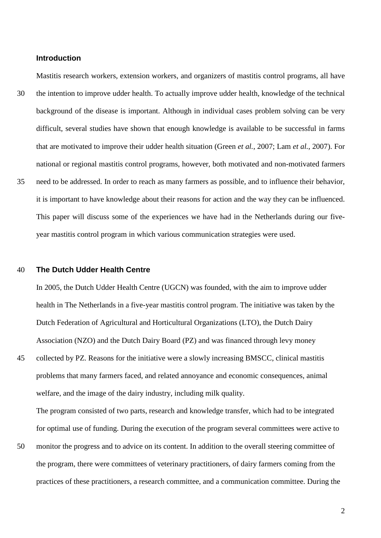## **Introduction**

Mastitis research workers, extension workers, and organizers of mastitis control programs, all have 30 the intention to improve udder health. To actually improve udder health, knowledge of the technical background of the disease is important. Although in individual cases problem solving can be very difficult, several studies have shown that enough knowledge is available to be successful in farms that are motivated to improve their udder health situation (Green *et al.*, 2007; Lam *et al.*, 2007). For national or regional mastitis control programs, however, both motivated and non-motivated farmers 35 need to be addressed. In order to reach as many farmers as possible, and to influence their behavior, it is important to have knowledge about their reasons for action and the way they can be influenced.

This paper will discuss some of the experiences we have had in the Netherlands during our fiveyear mastitis control program in which various communication strategies were used.

## 40 **The Dutch Udder Health Centre**

In 2005, the Dutch Udder Health Centre (UGCN) was founded, with the aim to improve udder health in The Netherlands in a five-year mastitis control program. The initiative was taken by the Dutch Federation of Agricultural and Horticultural Organizations (LTO), the Dutch Dairy Association (NZO) and the Dutch Dairy Board (PZ) and was financed through levy money

45 collected by PZ. Reasons for the initiative were a slowly increasing BMSCC, clinical mastitis problems that many farmers faced, and related annoyance and economic consequences, animal welfare, and the image of the dairy industry, including milk quality.

The program consisted of two parts, research and knowledge transfer, which had to be integrated for optimal use of funding. During the execution of the program several committees were active to

50 monitor the progress and to advice on its content. In addition to the overall steering committee of the program, there were committees of veterinary practitioners, of dairy farmers coming from the practices of these practitioners, a research committee, and a communication committee. During the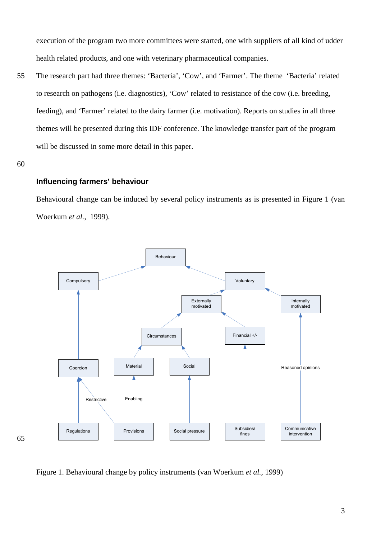execution of the program two more committees were started, one with suppliers of all kind of udder health related products, and one with veterinary pharmaceutical companies.

55 The research part had three themes: 'Bacteria', 'Cow', and 'Farmer'. The theme 'Bacteria' related to research on pathogens (i.e. diagnostics), 'Cow' related to resistance of the cow (i.e. breeding, feeding), and 'Farmer' related to the dairy farmer (i.e. motivation). Reports on studies in all three themes will be presented during this IDF conference. The knowledge transfer part of the program will be discussed in some more detail in this paper.

60

65

#### **Influencing farmers' behaviour**

Behavioural change can be induced by several policy instruments as is presented in Figure 1 (van Woerkum *et al.*, 1999).



Figure 1. Behavioural change by policy instruments (van Woerkum *et al.*, 1999)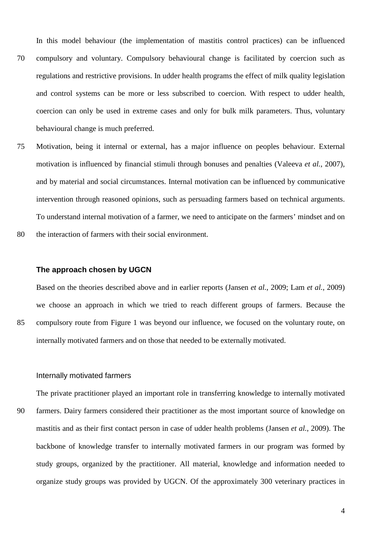In this model behaviour (the implementation of mastitis control practices) can be influenced

- 70 compulsory and voluntary. Compulsory behavioural change is facilitated by coercion such as regulations and restrictive provisions. In udder health programs the effect of milk quality legislation and control systems can be more or less subscribed to coercion. With respect to udder health, coercion can only be used in extreme cases and only for bulk milk parameters. Thus, voluntary behavioural change is much preferred.
- 75 Motivation, being it internal or external, has a major influence on peoples behaviour. External motivation is influenced by financial stimuli through bonuses and penalties (Valeeva *et al.*, 2007), and by material and social circumstances. Internal motivation can be influenced by communicative intervention through reasoned opinions, such as persuading farmers based on technical arguments. To understand internal motivation of a farmer, we need to anticipate on the farmers' mindset and on 80 the interaction of farmers with their social environment.

## **The approach chosen by UGCN**

Based on the theories described above and in earlier reports (Jansen *et al.*, 2009; Lam *et al.*, 2009) we choose an approach in which we tried to reach different groups of farmers. Because the 85 compulsory route from Figure 1 was beyond our influence, we focused on the voluntary route, on internally motivated farmers and on those that needed to be externally motivated.

## Internally motivated farmers

The private practitioner played an important role in transferring knowledge to internally motivated

90 farmers. Dairy farmers considered their practitioner as the most important source of knowledge on mastitis and as their first contact person in case of udder health problems (Jansen *et al.*, 2009). The backbone of knowledge transfer to internally motivated farmers in our program was formed by study groups, organized by the practitioner. All material, knowledge and information needed to organize study groups was provided by UGCN. Of the approximately 300 veterinary practices in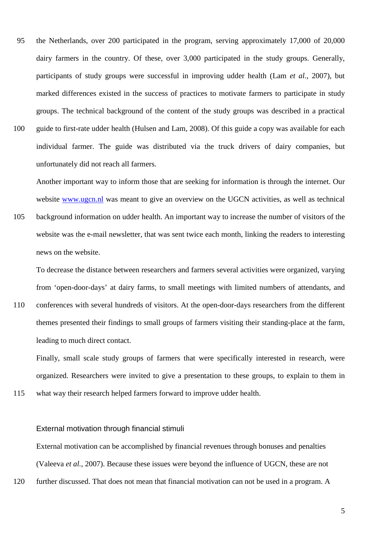95 the Netherlands, over 200 participated in the program, serving approximately 17,000 of 20,000 dairy farmers in the country. Of these, over 3,000 participated in the study groups. Generally, participants of study groups were successful in improving udder health (Lam *et al.*, 2007), but marked differences existed in the success of practices to motivate farmers to participate in study groups. The technical background of the content of the study groups was described in a practical 100 guide to first-rate udder health (Hulsen and Lam, 2008). Of this guide a copy was available for each individual farmer. The guide was distributed via the truck drivers of dairy companies, but unfortunately did not reach all farmers.

Another important way to inform those that are seeking for information is through the internet. Our website www.ugcn.nl was meant to give an overview on the UGCN activities, as well as technical

105 background information on udder health. An important way to increase the number of visitors of the website was the e-mail newsletter, that was sent twice each month, linking the readers to interesting news on the website.

To decrease the distance between researchers and farmers several activities were organized, varying from 'open-door-days' at dairy farms, to small meetings with limited numbers of attendants, and 110 conferences with several hundreds of visitors. At the open-door-days researchers from the different themes presented their findings to small groups of farmers visiting their standing-place at the farm, leading to much direct contact.

Finally, small scale study groups of farmers that were specifically interested in research, were organized. Researchers were invited to give a presentation to these groups, to explain to them in

115 what way their research helped farmers forward to improve udder health.

#### External motivation through financial stimuli

External motivation can be accomplished by financial revenues through bonuses and penalties (Valeeva *et al.*, 2007). Because these issues were beyond the influence of UGCN, these are not

120 further discussed. That does not mean that financial motivation can not be used in a program. A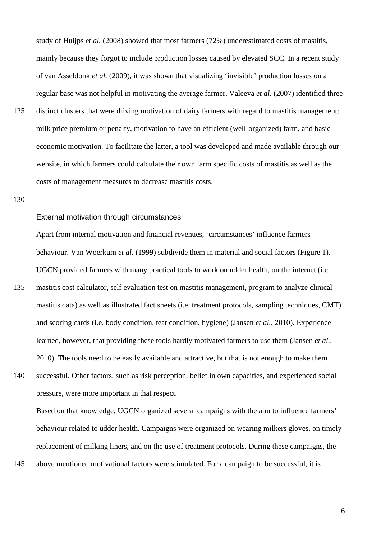study of Huijps *et al.* (2008) showed that most farmers (72%) underestimated costs of mastitis, mainly because they forgot to include production losses caused by elevated SCC. In a recent study of van Asseldonk *et al.* (2009), it was shown that visualizing 'invisible' production losses on a regular base was not helpful in motivating the average farmer. Valeeva *et al.* (2007) identified three

125 distinct clusters that were driving motivation of dairy farmers with regard to mastitis management: milk price premium or penalty, motivation to have an efficient (well-organized) farm, and basic economic motivation. To facilitate the latter, a tool was developed and made available through our website, in which farmers could calculate their own farm specific costs of mastitis as well as the costs of management measures to decrease mastitis costs.

130

#### External motivation through circumstances

Apart from internal motivation and financial revenues, 'circumstances' influence farmers' behaviour. Van Woerkum *et al.* (1999) subdivide them in material and social factors (Figure 1). UGCN provided farmers with many practical tools to work on udder health, on the internet (i.e.

- 135 mastitis cost calculator, self evaluation test on mastitis management, program to analyze clinical mastitis data) as well as illustrated fact sheets (i.e. treatment protocols, sampling techniques, CMT) and scoring cards (i.e. body condition, teat condition, hygiene) (Jansen *et al.*, 2010). Experience learned, however, that providing these tools hardly motivated farmers to use them (Jansen *et al.*, 2010). The tools need to be easily available and attractive, but that is not enough to make them
- 140 successful. Other factors, such as risk perception, belief in own capacities, and experienced social pressure, were more important in that respect.

Based on that knowledge, UGCN organized several campaigns with the aim to influence farmers' behaviour related to udder health. Campaigns were organized on wearing milkers gloves, on timely replacement of milking liners, and on the use of treatment protocols. During these campaigns, the

145 above mentioned motivational factors were stimulated. For a campaign to be successful, it is

6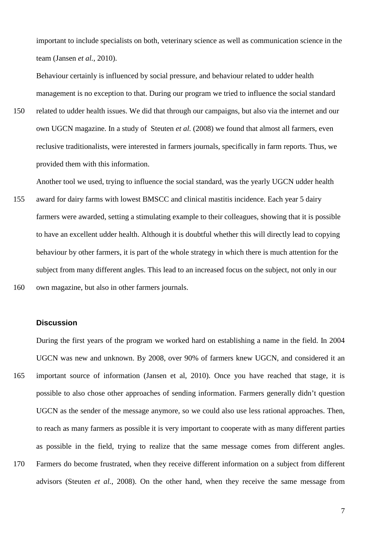important to include specialists on both, veterinary science as well as communication science in the team (Jansen *et al.*, 2010).

Behaviour certainly is influenced by social pressure, and behaviour related to udder health management is no exception to that. During our program we tried to influence the social standard

150 related to udder health issues. We did that through our campaigns, but also via the internet and our own UGCN magazine. In a study of Steuten *et al.* (2008) we found that almost all farmers, even reclusive traditionalists, were interested in farmers journals, specifically in farm reports. Thus, we provided them with this information.

Another tool we used, trying to influence the social standard, was the yearly UGCN udder health

155 award for dairy farms with lowest BMSCC and clinical mastitis incidence. Each year 5 dairy farmers were awarded, setting a stimulating example to their colleagues, showing that it is possible to have an excellent udder health. Although it is doubtful whether this will directly lead to copying behaviour by other farmers, it is part of the whole strategy in which there is much attention for the subject from many different angles. This lead to an increased focus on the subject, not only in our 160 own magazine, but also in other farmers journals.

**Discussion** 

During the first years of the program we worked hard on establishing a name in the field. In 2004 UGCN was new and unknown. By 2008, over 90% of farmers knew UGCN, and considered it an 165 important source of information (Jansen et al, 2010). Once you have reached that stage, it is possible to also chose other approaches of sending information. Farmers generally didn't question UGCN as the sender of the message anymore, so we could also use less rational approaches. Then, to reach as many farmers as possible it is very important to cooperate with as many different parties as possible in the field, trying to realize that the same message comes from different angles. 170 Farmers do become frustrated, when they receive different information on a subject from different advisors (Steuten *et al.*, 2008). On the other hand, when they receive the same message from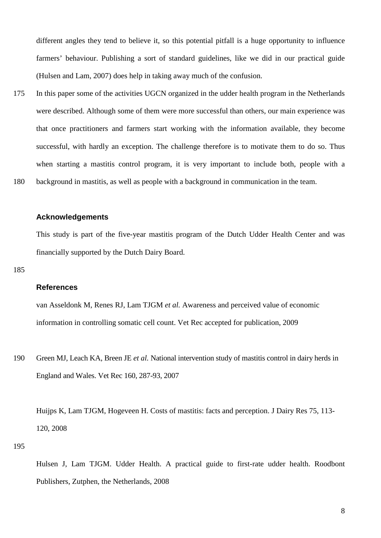different angles they tend to believe it, so this potential pitfall is a huge opportunity to influence farmers' behaviour. Publishing a sort of standard guidelines, like we did in our practical guide (Hulsen and Lam, 2007) does help in taking away much of the confusion.

175 In this paper some of the activities UGCN organized in the udder health program in the Netherlands were described. Although some of them were more successful than others, our main experience was that once practitioners and farmers start working with the information available, they become successful, with hardly an exception. The challenge therefore is to motivate them to do so. Thus when starting a mastitis control program, it is very important to include both, people with a 180 background in mastitis, as well as people with a background in communication in the team.

#### **Acknowledgements**

This study is part of the five-year mastitis program of the Dutch Udder Health Center and was financially supported by the Dutch Dairy Board.

#### 185

## **References**

van Asseldonk M, Renes RJ, Lam TJGM *et al.* Awareness and perceived value of economic information in controlling somatic cell count. Vet Rec accepted for publication, 2009

190 Green MJ, Leach KA, Breen JE *et al.* National intervention study of mastitis control in dairy herds in England and Wales. Vet Rec 160, 287-93, 2007

Huijps K, Lam TJGM, Hogeveen H. Costs of mastitis: facts and perception. J Dairy Res 75, 113- 120, 2008

195

Hulsen J, Lam TJGM. Udder Health. A practical guide to first-rate udder health. Roodbont Publishers, Zutphen, the Netherlands, 2008